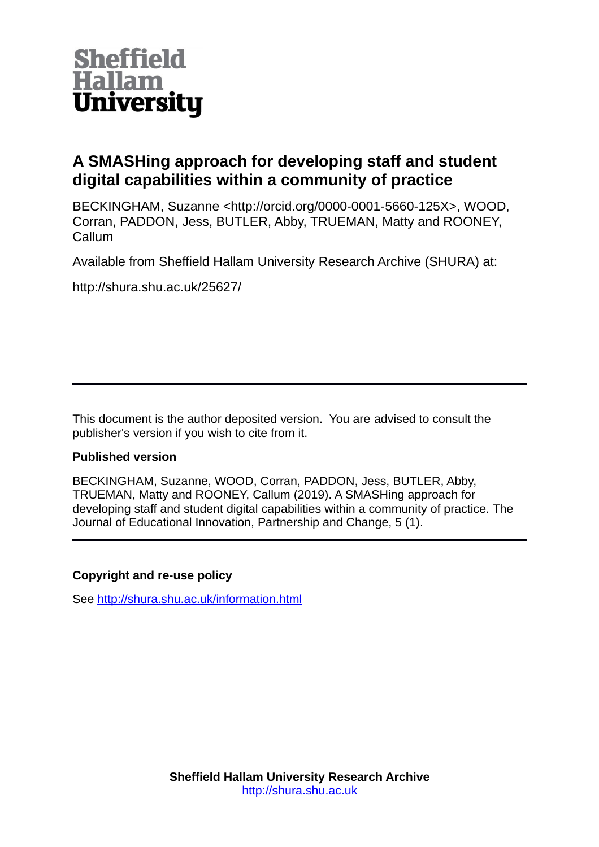

# **A SMASHing approach for developing staff and student digital capabilities within a community of practice**

BECKINGHAM, Suzanne <http://orcid.org/0000-0001-5660-125X>, WOOD, Corran, PADDON, Jess, BUTLER, Abby, TRUEMAN, Matty and ROONEY, Callum

Available from Sheffield Hallam University Research Archive (SHURA) at:

http://shura.shu.ac.uk/25627/

This document is the author deposited version. You are advised to consult the publisher's version if you wish to cite from it.

#### **Published version**

BECKINGHAM, Suzanne, WOOD, Corran, PADDON, Jess, BUTLER, Abby, TRUEMAN, Matty and ROONEY, Callum (2019). A SMASHing approach for developing staff and student digital capabilities within a community of practice. The Journal of Educational Innovation, Partnership and Change, 5 (1).

#### **Copyright and re-use policy**

See<http://shura.shu.ac.uk/information.html>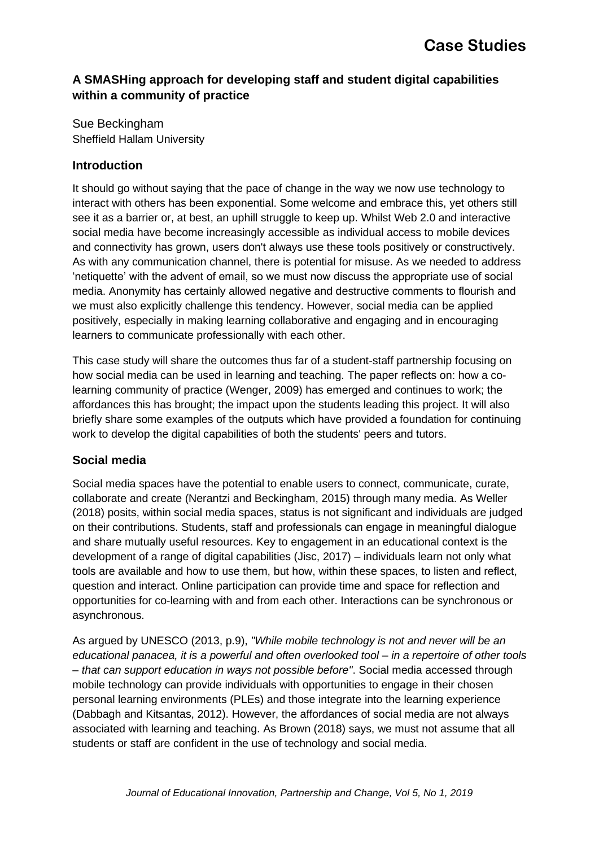### **A SMASHing approach for developing staff and student digital capabilities within a community of practice**

Sue Beckingham Sheffield Hallam University

#### **Introduction**

It should go without saying that the pace of change in the way we now use technology to interact with others has been exponential. Some welcome and embrace this, yet others still see it as a barrier or, at best, an uphill struggle to keep up. Whilst Web 2.0 and interactive social media have become increasingly accessible as individual access to mobile devices and connectivity has grown, users don't always use these tools positively or constructively. As with any communication channel, there is potential for misuse. As we needed to address 'netiquette' with the advent of email, so we must now discuss the appropriate use of social media. Anonymity has certainly allowed negative and destructive comments to flourish and we must also explicitly challenge this tendency. However, social media can be applied positively, especially in making learning collaborative and engaging and in encouraging learners to communicate professionally with each other.

This case study will share the outcomes thus far of a student-staff partnership focusing on how social media can be used in learning and teaching. The paper reflects on: how a colearning community of practice (Wenger, 2009) has emerged and continues to work; the affordances this has brought; the impact upon the students leading this project. It will also briefly share some examples of the outputs which have provided a foundation for continuing work to develop the digital capabilities of both the students' peers and tutors.

## **Social media**

Social media spaces have the potential to enable users to connect, communicate, curate, collaborate and create (Nerantzi and Beckingham, 2015) through many media. As Weller (2018) posits, within social media spaces, status is not significant and individuals are judged on their contributions. Students, staff and professionals can engage in meaningful dialogue and share mutually useful resources. Key to engagement in an educational context is the development of a range of digital capabilities (Jisc, 2017) – individuals learn not only what tools are available and how to use them, but how, within these spaces, to listen and reflect, question and interact. Online participation can provide time and space for reflection and opportunities for co-learning with and from each other. Interactions can be synchronous or asynchronous.

As argued by UNESCO (2013, p.9), *"While mobile technology is not and never will be an educational panacea, it is a powerful and often overlooked tool – in a repertoire of other tools – that can support education in ways not possible before"*. Social media accessed through mobile technology can provide individuals with opportunities to engage in their chosen personal learning environments (PLEs) and those integrate into the learning experience (Dabbagh and Kitsantas, 2012). However, the affordances of social media are not always associated with learning and teaching. As Brown (2018) says, we must not assume that all students or staff are confident in the use of technology and social media.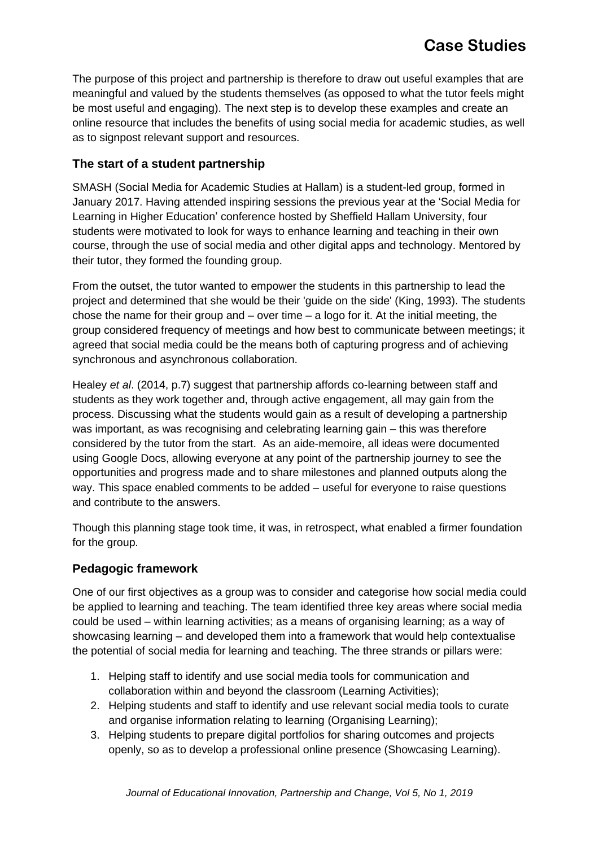The purpose of this project and partnership is therefore to draw out useful examples that are meaningful and valued by the students themselves (as opposed to what the tutor feels might be most useful and engaging). The next step is to develop these examples and create an online resource that includes the benefits of using social media for academic studies, as well as to signpost relevant support and resources.

### **The start of a student partnership**

SMASH (Social Media for Academic Studies at Hallam) is a student-led group, formed in January 2017. Having attended inspiring sessions the previous year at the 'Social Media for Learning in Higher Education' conference hosted by Sheffield Hallam University, four students were motivated to look for ways to enhance learning and teaching in their own course, through the use of social media and other digital apps and technology. Mentored by their tutor, they formed the founding group.

From the outset, the tutor wanted to empower the students in this partnership to lead the project and determined that she would be their 'guide on the side' (King, 1993). The students chose the name for their group and  $-$  over time  $-$  a logo for it. At the initial meeting, the group considered frequency of meetings and how best to communicate between meetings; it agreed that social media could be the means both of capturing progress and of achieving synchronous and asynchronous collaboration.

Healey *et al*. (2014, p.7) suggest that partnership affords co-learning between staff and students as they work together and, through active engagement, all may gain from the process. Discussing what the students would gain as a result of developing a partnership was important, as was recognising and celebrating learning gain – this was therefore considered by the tutor from the start. As an aide-memoire, all ideas were documented using Google Docs, allowing everyone at any point of the partnership journey to see the opportunities and progress made and to share milestones and planned outputs along the way. This space enabled comments to be added – useful for everyone to raise questions and contribute to the answers.

Though this planning stage took time, it was, in retrospect, what enabled a firmer foundation for the group.

#### **Pedagogic framework**

One of our first objectives as a group was to consider and categorise how social media could be applied to learning and teaching. The team identified three key areas where social media could be used – within learning activities; as a means of organising learning; as a way of showcasing learning – and developed them into a framework that would help contextualise the potential of social media for learning and teaching. The three strands or pillars were:

- 1. Helping staff to identify and use social media tools for communication and collaboration within and beyond the classroom (Learning Activities);
- 2. Helping students and staff to identify and use relevant social media tools to curate and organise information relating to learning (Organising Learning);
- 3. Helping students to prepare digital portfolios for sharing outcomes and projects openly, so as to develop a professional online presence (Showcasing Learning).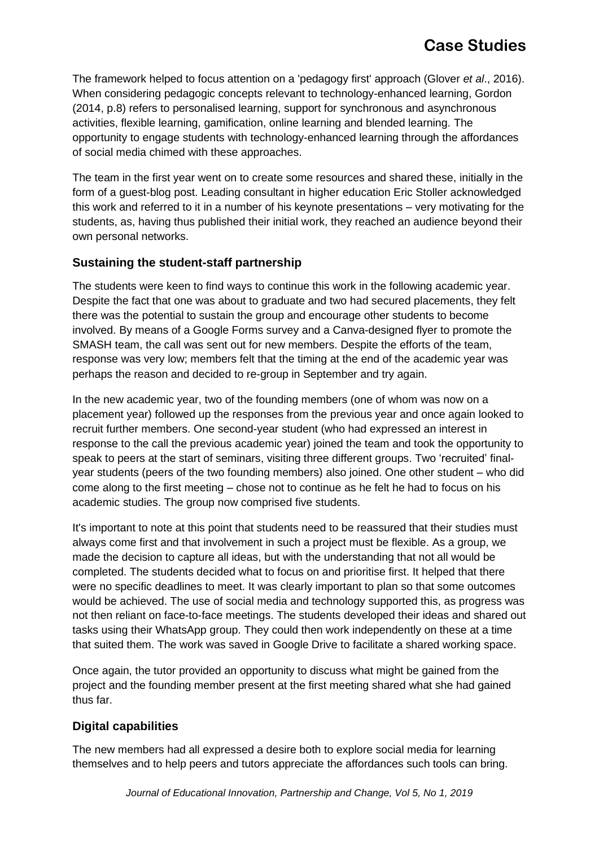# **Case Studies**

The framework helped to focus attention on a 'pedagogy first' approach (Glover *et al*., 2016). When considering pedagogic concepts relevant to technology-enhanced learning, Gordon (2014, p.8) refers to personalised learning, support for synchronous and asynchronous activities, flexible learning, gamification, online learning and blended learning. The opportunity to engage students with technology-enhanced learning through the affordances of social media chimed with these approaches.

The team in the first year went on to create some resources and shared these, initially in the form of a guest-blog post. Leading consultant in higher education Eric Stoller acknowledged this work and referred to it in a number of his keynote presentations – very motivating for the students, as, having thus published their initial work, they reached an audience beyond their own personal networks.

#### **Sustaining the student-staff partnership**

The students were keen to find ways to continue this work in the following academic year. Despite the fact that one was about to graduate and two had secured placements, they felt there was the potential to sustain the group and encourage other students to become involved. By means of a Google Forms survey and a Canva-designed flyer to promote the SMASH team, the call was sent out for new members. Despite the efforts of the team, response was very low; members felt that the timing at the end of the academic year was perhaps the reason and decided to re-group in September and try again.

In the new academic year, two of the founding members (one of whom was now on a placement year) followed up the responses from the previous year and once again looked to recruit further members. One second-year student (who had expressed an interest in response to the call the previous academic year) joined the team and took the opportunity to speak to peers at the start of seminars, visiting three different groups. Two 'recruited' finalyear students (peers of the two founding members) also joined. One other student – who did come along to the first meeting – chose not to continue as he felt he had to focus on his academic studies. The group now comprised five students.

It's important to note at this point that students need to be reassured that their studies must always come first and that involvement in such a project must be flexible. As a group, we made the decision to capture all ideas, but with the understanding that not all would be completed. The students decided what to focus on and prioritise first. It helped that there were no specific deadlines to meet. It was clearly important to plan so that some outcomes would be achieved. The use of social media and technology supported this, as progress was not then reliant on face-to-face meetings. The students developed their ideas and shared out tasks using their WhatsApp group. They could then work independently on these at a time that suited them. The work was saved in Google Drive to facilitate a shared working space.

Once again, the tutor provided an opportunity to discuss what might be gained from the project and the founding member present at the first meeting shared what she had gained thus far.

#### **Digital capabilities**

The new members had all expressed a desire both to explore social media for learning themselves and to help peers and tutors appreciate the affordances such tools can bring.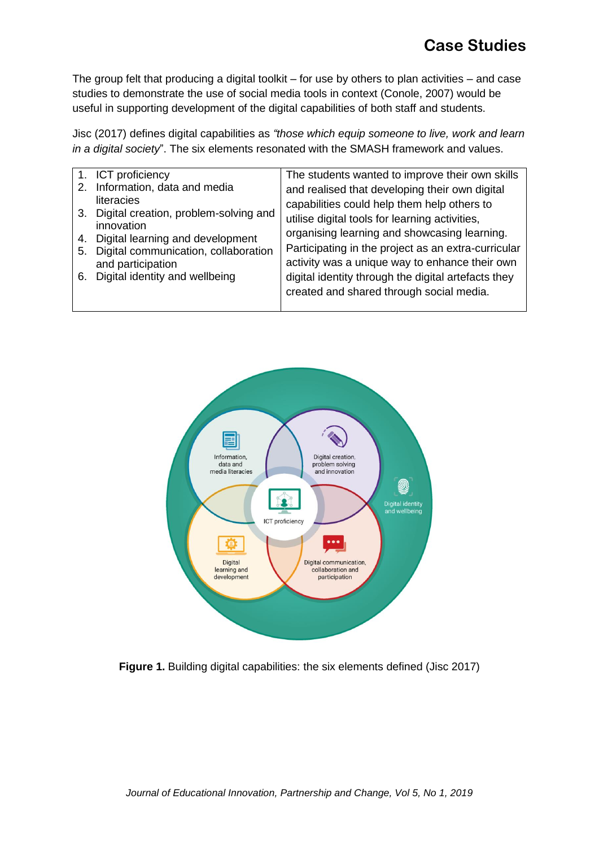The group felt that producing a digital toolkit – for use by others to plan activities – and case studies to demonstrate the use of social media tools in context (Conole, 2007) would be useful in supporting development of the digital capabilities of both staff and students.

Jisc (2017) defines digital capabilities as *"those which equip someone to live, work and learn in a digital society*". The six elements resonated with the SMASH framework and values.

| 1. ICT proficiency                                                             | The students wanted to improve their own skills     |
|--------------------------------------------------------------------------------|-----------------------------------------------------|
| 2. Information, data and media                                                 | and realised that developing their own digital      |
| literacies                                                                     | capabilities could help them help others to         |
| 3. Digital creation, problem-solving and                                       | utilise digital tools for learning activities,      |
| innovation                                                                     | organising learning and showcasing learning.        |
| 4. Digital learning and development<br>5. Digital communication, collaboration | Participating in the project as an extra-curricular |
| and participation                                                              | activity was a unique way to enhance their own      |
| 6. Digital identity and wellbeing                                              | digital identity through the digital artefacts they |
|                                                                                | created and shared through social media.            |
|                                                                                |                                                     |



**Figure 1.** Building digital capabilities: the six elements defined (Jisc 2017)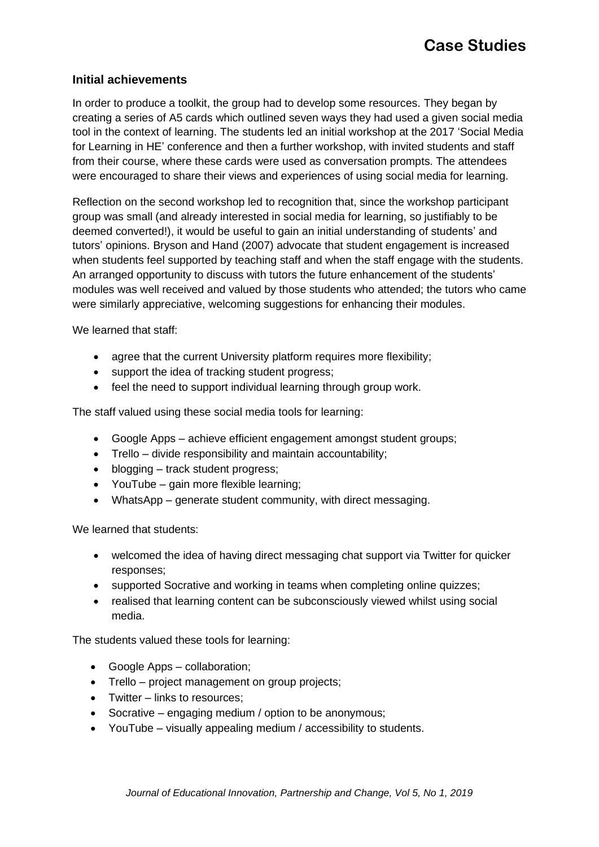#### **Initial achievements**

In order to produce a toolkit, the group had to develop some resources. They began by creating a series of A5 cards which outlined seven ways they had used a given social media tool in the context of learning. The students led an initial workshop at the 2017 'Social Media for Learning in HE' conference and then a further workshop, with invited students and staff from their course, where these cards were used as conversation prompts. The attendees were encouraged to share their views and experiences of using social media for learning.

Reflection on the second workshop led to recognition that, since the workshop participant group was small (and already interested in social media for learning, so justifiably to be deemed converted!), it would be useful to gain an initial understanding of students' and tutors' opinions. Bryson and Hand (2007) advocate that student engagement is increased when students feel supported by teaching staff and when the staff engage with the students. An arranged opportunity to discuss with tutors the future enhancement of the students' modules was well received and valued by those students who attended; the tutors who came were similarly appreciative, welcoming suggestions for enhancing their modules.

We learned that staff:

- agree that the current University platform requires more flexibility;
- support the idea of tracking student progress;
- feel the need to support individual learning through group work.

The staff valued using these social media tools for learning:

- Google Apps achieve efficient engagement amongst student groups;
- Trello divide responsibility and maintain accountability;
- blogging track student progress;
- YouTube gain more flexible learning;
- WhatsApp generate student community, with direct messaging.

We learned that students:

- welcomed the idea of having direct messaging chat support via Twitter for quicker responses;
- supported Socrative and working in teams when completing online quizzes;
- realised that learning content can be subconsciously viewed whilst using social media.

The students valued these tools for learning:

- Google Apps collaboration;
- Trello project management on group projects:
- Twitter links to resources:
- Socrative engaging medium / option to be anonymous;
- YouTube visually appealing medium / accessibility to students.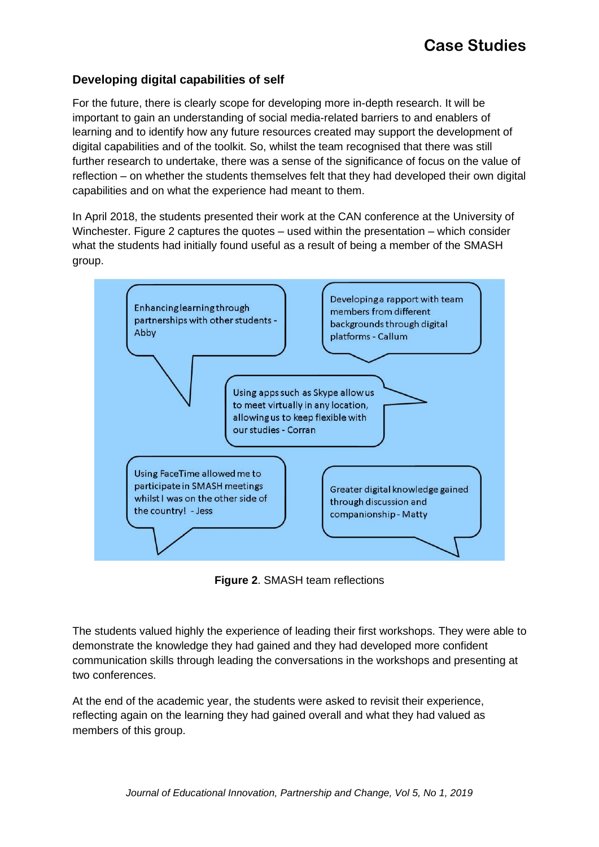#### **Developing digital capabilities of self**

For the future, there is clearly scope for developing more in-depth research. It will be important to gain an understanding of social media-related barriers to and enablers of learning and to identify how any future resources created may support the development of digital capabilities and of the toolkit. So, whilst the team recognised that there was still further research to undertake, there was a sense of the significance of focus on the value of reflection – on whether the students themselves felt that they had developed their own digital capabilities and on what the experience had meant to them.

In April 2018, the students presented their work at the CAN conference at the University of Winchester. Figure 2 captures the quotes – used within the presentation – which consider what the students had initially found useful as a result of being a member of the SMASH group.



**Figure 2**. SMASH team reflections

The students valued highly the experience of leading their first workshops. They were able to demonstrate the knowledge they had gained and they had developed more confident communication skills through leading the conversations in the workshops and presenting at two conferences.

At the end of the academic year, the students were asked to revisit their experience, reflecting again on the learning they had gained overall and what they had valued as members of this group.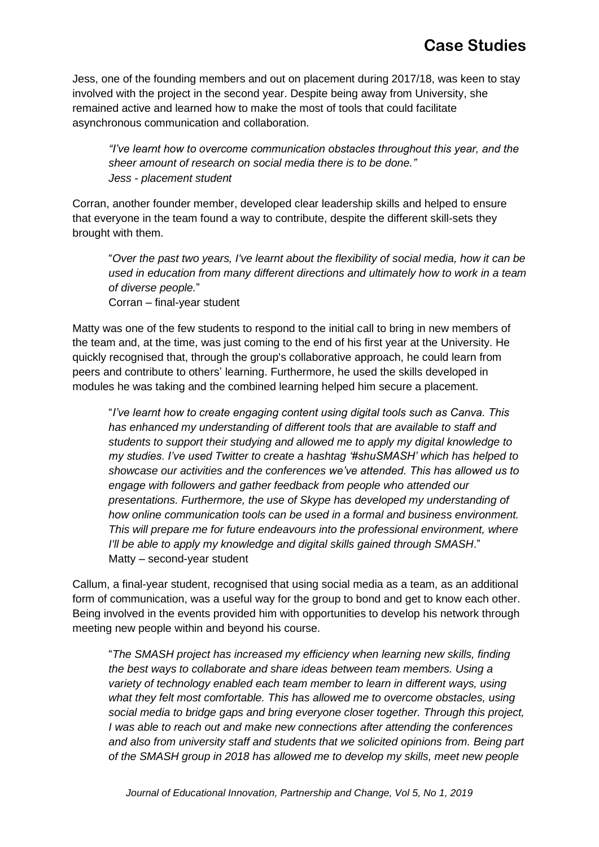# **Case Studies**

Jess, one of the founding members and out on placement during 2017/18, was keen to stay involved with the project in the second year. Despite being away from University, she remained active and learned how to make the most of tools that could facilitate asynchronous communication and collaboration.

*"I've learnt how to overcome communication obstacles throughout this year, and the sheer amount of research on social media there is to be done." Jess - placement student*

Corran, another founder member, developed clear leadership skills and helped to ensure that everyone in the team found a way to contribute, despite the different skill-sets they brought with them.

"*Over the past two years, I've learnt about the flexibility of social media, how it can be used in education from many different directions and ultimately how to work in a team of diverse people.*" Corran – final-year student

Matty was one of the few students to respond to the initial call to bring in new members of the team and, at the time, was just coming to the end of his first year at the University. He quickly recognised that, through the group's collaborative approach, he could learn from peers and contribute to others' learning. Furthermore, he used the skills developed in modules he was taking and the combined learning helped him secure a placement.

"*I've learnt how to create engaging content using digital tools such as Canva. This has enhanced my understanding of different tools that are available to staff and students to support their studying and allowed me to apply my digital knowledge to my studies. I've used Twitter to create a hashtag '#shuSMASH' which has helped to showcase our activities and the conferences we've attended. This has allowed us to engage with followers and gather feedback from people who attended our presentations. Furthermore, the use of Skype has developed my understanding of how online communication tools can be used in a formal and business environment. This will prepare me for future endeavours into the professional environment, where I'll be able to apply my knowledge and digital skills gained through SMASH*." Matty – second-year student

Callum, a final-year student, recognised that using social media as a team, as an additional form of communication, was a useful way for the group to bond and get to know each other. Being involved in the events provided him with opportunities to develop his network through meeting new people within and beyond his course.

"*The SMASH project has increased my efficiency when learning new skills, finding the best ways to collaborate and share ideas between team members. Using a variety of technology enabled each team member to learn in different ways, using*  what they felt most comfortable. This has allowed me to overcome obstacles, using *social media to bridge gaps and bring everyone closer together. Through this project, I was able to reach out and make new connections after attending the conferences and also from university staff and students that we solicited opinions from. Being part of the SMASH group in 2018 has allowed me to develop my skills, meet new people*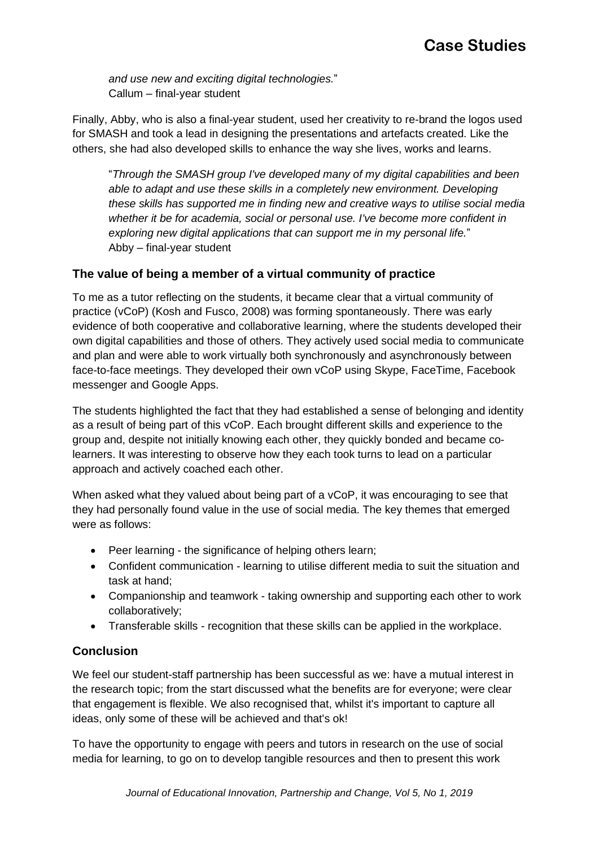*and use new and exciting digital technologies.*" Callum – final-year student

Finally, Abby, who is also a final-year student, used her creativity to re-brand the logos used for SMASH and took a lead in designing the presentations and artefacts created. Like the others, she had also developed skills to enhance the way she lives, works and learns.

"*Through the SMASH group I've developed many of my digital capabilities and been able to adapt and use these skills in a completely new environment. Developing these skills has supported me in finding new and creative ways to utilise social media whether it be for academia, social or personal use. I've become more confident in exploring new digital applications that can support me in my personal life.*" Abby – final-year student

### **The value of being a member of a virtual community of practice**

To me as a tutor reflecting on the students, it became clear that a virtual community of practice (vCoP) (Kosh and Fusco, 2008) was forming spontaneously. There was early evidence of both cooperative and collaborative learning, where the students developed their own digital capabilities and those of others. They actively used social media to communicate and plan and were able to work virtually both synchronously and asynchronously between face-to-face meetings. They developed their own vCoP using Skype, FaceTime, Facebook messenger and Google Apps.

The students highlighted the fact that they had established a sense of belonging and identity as a result of being part of this vCoP. Each brought different skills and experience to the group and, despite not initially knowing each other, they quickly bonded and became colearners. It was interesting to observe how they each took turns to lead on a particular approach and actively coached each other.

When asked what they valued about being part of a vCoP, it was encouraging to see that they had personally found value in the use of social media. The key themes that emerged were as follows:

- Peer learning the significance of helping others learn;
- Confident communication learning to utilise different media to suit the situation and task at hand;
- Companionship and teamwork taking ownership and supporting each other to work collaboratively;
- Transferable skills recognition that these skills can be applied in the workplace.

## **Conclusion**

We feel our student-staff partnership has been successful as we: have a mutual interest in the research topic; from the start discussed what the benefits are for everyone; were clear that engagement is flexible. We also recognised that, whilst it's important to capture all ideas, only some of these will be achieved and that's ok!

To have the opportunity to engage with peers and tutors in research on the use of social media for learning, to go on to develop tangible resources and then to present this work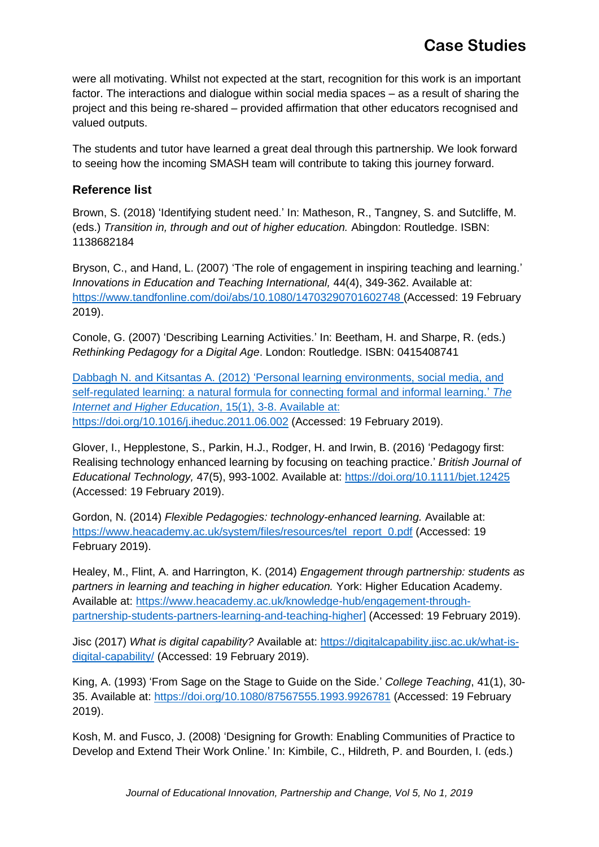were all motivating. Whilst not expected at the start, recognition for this work is an important factor. The interactions and dialogue within social media spaces – as a result of sharing the project and this being re-shared – provided affirmation that other educators recognised and valued outputs.

The students and tutor have learned a great deal through this partnership. We look forward to seeing how the incoming SMASH team will contribute to taking this journey forward.

### **Reference list**

Brown, S. (2018) 'Identifying student need.' In: Matheson, R., Tangney, S. and Sutcliffe, M. (eds.) *Transition in, through and out of higher education.* Abingdon: Routledge. ISBN: 1138682184

Bryson, C., and Hand, L. (2007) 'The role of engagement in inspiring teaching and learning.' *Innovations in Education and Teaching International,* 44(4), 349-362. Available at: <https://www.tandfonline.com/doi/abs/10.1080/14703290701602748> (Accessed: 19 February 2019).

Conole, G. (2007) 'Describing Learning Activities.' In: Beetham, H. and Sharpe, R. (eds.) *Rethinking Pedagogy for a Digital Age*. London: Routledge. ISBN: 0415408741

Dabbagh N. and Kitsantas A. (2012) 'Personal learning environments, social media, and self-regulated learning: a natural formula for connecting formal and informal learning.' *The Internet and Higher Education*, 15(1), 3-8. Available at: <https://doi.org/10.1016/j.iheduc.2011.06.002> (Accessed: 19 February 2019).

Glover, I., Hepplestone, S., Parkin, H.J., Rodger, H. and Irwin, B. (2016) 'Pedagogy first: Realising technology enhanced learning by focusing on teaching practice.' *British Journal of Educational Technology,* 47(5), 993-1002. Available at:<https://doi.org/10.1111/bjet.12425> (Accessed: 19 February 2019).

Gordon, N. (2014) *Flexible Pedagogies: technology-enhanced learning.* Available at: [https://www.heacademy.ac.uk/system/files/resources/tel\\_report\\_0.pdf](https://www.heacademy.ac.uk/system/files/resources/tel_report_0.pdf) (Accessed: 19 February 2019).

Healey, M., Flint, A. and Harrington, K. (2014) *Engagement through partnership: students as partners in learning and teaching in higher education.* York: Higher Education Academy. Available at: [https://www.heacademy.ac.uk/knowledge-hub/engagement-through](https://www.heacademy.ac.uk/knowledge-hub/engagement-through-partnership-students-partners-learning-and-teaching-higher)[partnership-students-partners-learning-and-teaching-higher\]](https://www.heacademy.ac.uk/knowledge-hub/engagement-through-partnership-students-partners-learning-and-teaching-higher) (Accessed: 19 February 2019).

Jisc (2017) *What is digital capability?* Available at: [https://digitalcapability.jisc.ac.uk/what-is](https://digitalcapability.jisc.ac.uk/what-is-digital-capability/)[digital-capability/](https://digitalcapability.jisc.ac.uk/what-is-digital-capability/) (Accessed: 19 February 2019).

King, A. (1993) 'From Sage on the Stage to Guide on the Side.' *College Teaching*, 41(1), 30- 35. Available at:<https://doi.org/10.1080/87567555.1993.9926781> (Accessed: 19 February 2019).

Kosh, M. and Fusco, J. (2008) 'Designing for Growth: Enabling Communities of Practice to Develop and Extend Their Work Online.' In: Kimbile, C., Hildreth, P. and Bourden, I. (eds.)